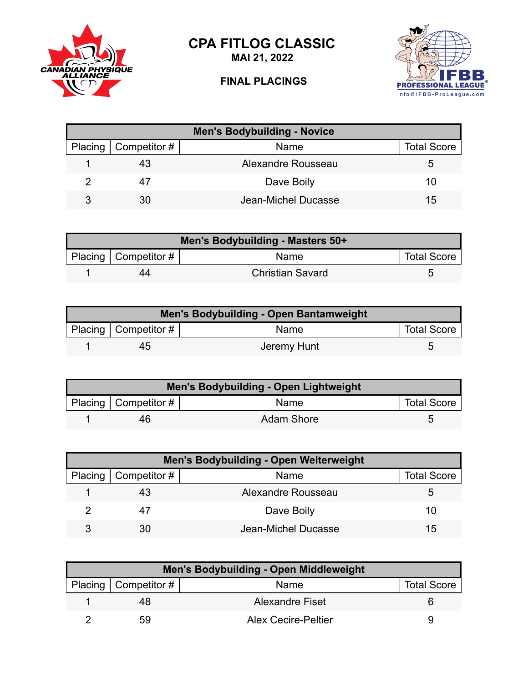

**MAI 21, 2022**



## **FINAL PLACINGS**



| <b>Men's Bodybuilding - Novice</b> |                        |                     |                    |  |
|------------------------------------|------------------------|---------------------|--------------------|--|
|                                    | Placing   Competitor # | Name                | <b>Total Score</b> |  |
|                                    | 43                     | Alexandre Rousseau  |                    |  |
|                                    | 47                     | Dave Boily          | 10                 |  |
| 3                                  | 30                     | Jean-Michel Ducasse | 15                 |  |

| Men's Bodybuilding - Masters 50+ |                              |                         |                    |
|----------------------------------|------------------------------|-------------------------|--------------------|
|                                  | Placing Competitor # $\vert$ | Name                    | <b>Total Score</b> |
|                                  | 44                           | <b>Christian Savard</b> |                    |

| Men's Bodybuilding - Open Bantamweight |                        |             |                    |  |
|----------------------------------------|------------------------|-------------|--------------------|--|
|                                        | Placing   Competitor # | Name        | <b>Total Score</b> |  |
|                                        | 45                     | Jeremy Hunt |                    |  |

| Men's Bodybuilding - Open Lightweight |                           |            |                    |  |
|---------------------------------------|---------------------------|------------|--------------------|--|
|                                       | Placing   Competitor $\#$ | Name       | <b>Total Score</b> |  |
|                                       | 46                        | Adam Shore |                    |  |

| <b>Men's Bodybuilding - Open Welterweight</b> |                              |                     |                    |  |
|-----------------------------------------------|------------------------------|---------------------|--------------------|--|
|                                               | Placing $\vert$ Competitor # | Name                | <b>Total Score</b> |  |
|                                               |                              | Alexandre Rousseau  | :5                 |  |
|                                               |                              | Dave Boily          | 10                 |  |
|                                               | 30                           | Jean-Michel Ducasse | 15                 |  |

| Men's Bodybuilding - Open Middleweight |                        |                            |                    |
|----------------------------------------|------------------------|----------------------------|--------------------|
|                                        | Placing   Competitor # | Name                       | <b>Total Score</b> |
|                                        | 48                     | <b>Alexandre Fiset</b>     |                    |
|                                        | 59                     | <b>Alex Cecire-Peltier</b> | u                  |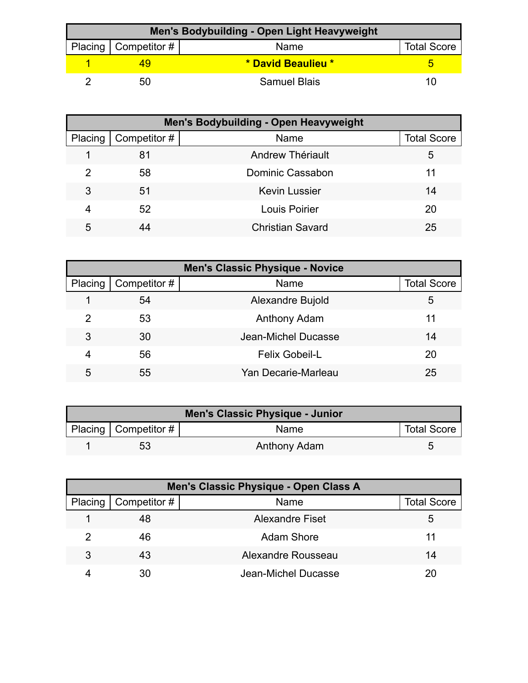| Men's Bodybuilding - Open Light Heavyweight |                        |                     |                    |  |
|---------------------------------------------|------------------------|---------------------|--------------------|--|
|                                             | Placing   Competitor # | Name                | <b>Total Score</b> |  |
|                                             |                        | * David Beaulieu *  |                    |  |
|                                             | 50                     | <b>Samuel Blais</b> | 11)                |  |

| <b>Men's Bodybuilding - Open Heavyweight</b> |              |                         |                    |  |
|----------------------------------------------|--------------|-------------------------|--------------------|--|
| Placing                                      | Competitor # | Name                    | <b>Total Score</b> |  |
|                                              | 81           | Andrew Thériault        | 5                  |  |
| 2                                            | 58           | Dominic Cassabon        | 11                 |  |
| 3                                            | 51           | <b>Kevin Lussier</b>    | 14                 |  |
| 4                                            | 52           | Louis Poirier           | 20                 |  |
| 5                                            | 44           | <b>Christian Savard</b> | 25                 |  |

| <b>Men's Classic Physique - Novice</b> |              |                       |                    |  |
|----------------------------------------|--------------|-----------------------|--------------------|--|
| Placing                                | Competitor # | Name                  | <b>Total Score</b> |  |
|                                        | 54           | Alexandre Bujold      | 5                  |  |
| 2                                      | 53           | Anthony Adam          | 11                 |  |
| 3                                      | 30           | Jean-Michel Ducasse   | 14                 |  |
| 4                                      | 56           | <b>Felix Gobeil-L</b> | 20                 |  |
| 5                                      | 55           | Yan Decarie-Marleau   | 25                 |  |

| <b>Men's Classic Physique - Junior</b> |                           |              |                    |
|----------------------------------------|---------------------------|--------------|--------------------|
|                                        | Placing   Competitor $\#$ | <b>Name</b>  | <b>Total Score</b> |
|                                        | 53                        | Anthony Adam |                    |

| Men's Classic Physique - Open Class A |              |                        |                    |  |
|---------------------------------------|--------------|------------------------|--------------------|--|
| Placing                               | Competitor # | Name                   | <b>Total Score</b> |  |
|                                       | 48           | <b>Alexandre Fiset</b> |                    |  |
| 2                                     | 46           | <b>Adam Shore</b>      | 11                 |  |
| 3                                     | 43           | Alexandre Rousseau     | 14                 |  |
|                                       | 30           | Jean-Michel Ducasse    |                    |  |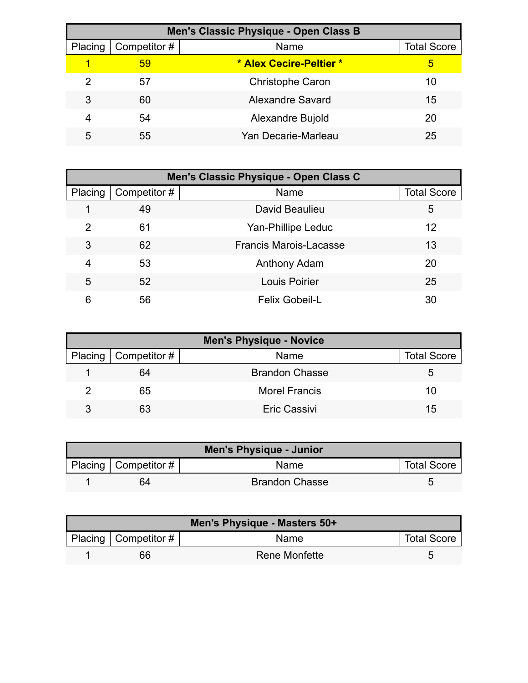| Men's Classic Physique - Open Class B |              |                         |                    |  |
|---------------------------------------|--------------|-------------------------|--------------------|--|
| Placing                               | Competitor # | Name                    | <b>Total Score</b> |  |
|                                       | 59           | * Alex Cecire-Peltier * | 5                  |  |
| 2                                     | 57           | <b>Christophe Caron</b> | 10                 |  |
| 3                                     | 60           | Alexandre Savard        | 15                 |  |
|                                       | 54           | Alexandre Bujold        | 20                 |  |
| 5                                     | 55           | Yan Decarie-Marleau     | 25                 |  |

| Men's Classic Physique - Open Class C |              |                               |                    |  |
|---------------------------------------|--------------|-------------------------------|--------------------|--|
| Placing                               | Competitor # | Name                          | <b>Total Score</b> |  |
|                                       | 49           | David Beaulieu                | 5                  |  |
| 2                                     | 61           | Yan-Phillipe Leduc            | 12                 |  |
| 3                                     | 62           | <b>Francis Marois-Lacasse</b> | 13                 |  |
| 4                                     | 53           | Anthony Adam                  | 20                 |  |
| 5                                     | 52           | <b>Louis Poirier</b>          | 25                 |  |
| 6                                     | 56           | <b>Felix Gobeil-L</b>         | 30                 |  |

| <b>Men's Physique - Novice</b> |                              |                       |                    |
|--------------------------------|------------------------------|-----------------------|--------------------|
|                                | Placing $\vert$ Competitor # | Name                  | <b>Total Score</b> |
|                                | 64                           | <b>Brandon Chasse</b> | 5.                 |
|                                | 65                           | <b>Morel Francis</b>  | 10                 |
| 3                              | 63                           | <b>Eric Cassivi</b>   | 15                 |

| <b>Men's Physique - Junior</b> |                          |                       |                    |  |
|--------------------------------|--------------------------|-----------------------|--------------------|--|
|                                | Placing   Competitor $#$ | <b>Name</b>           | <b>Total Score</b> |  |
|                                | 64                       | <b>Brandon Chasse</b> |                    |  |

| Men's Physique - Masters 50+ |                           |               |                    |  |
|------------------------------|---------------------------|---------------|--------------------|--|
|                              | Placing   Competitor $\#$ | Name          | <b>Total Score</b> |  |
|                              | 66                        | Rene Monfette | 5                  |  |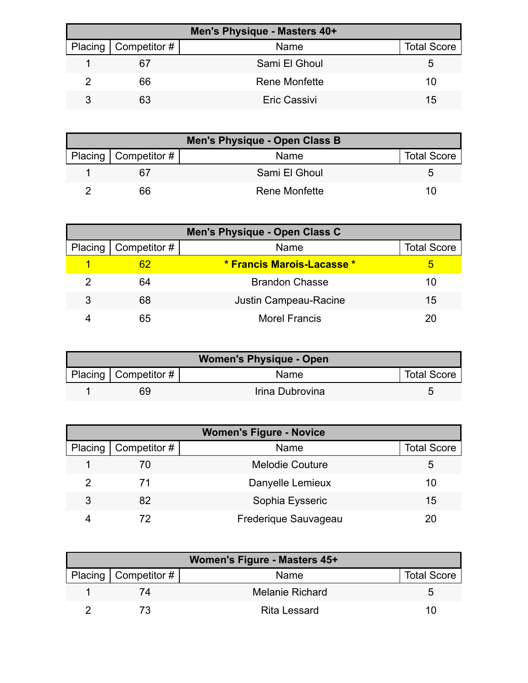| Men's Physique - Masters 40+ |                     |                    |  |  |
|------------------------------|---------------------|--------------------|--|--|
| Placing   Competitor #       | Name                | <b>Total Score</b> |  |  |
| 67                           | Sami El Ghoul       | b                  |  |  |
| 66                           | Rene Monfette       | 10                 |  |  |
| 63                           | <b>Eric Cassivi</b> | 15                 |  |  |

| Men's Physique - Open Class B |                      |                    |  |  |
|-------------------------------|----------------------|--------------------|--|--|
| Placing   Competitor #        | Name                 | <b>Total Score</b> |  |  |
|                               | Sami El Ghoul        |                    |  |  |
| 66                            | <b>Rene Monfette</b> | 10                 |  |  |

| Men's Physique - Open Class C |                     |                              |                    |  |
|-------------------------------|---------------------|------------------------------|--------------------|--|
| Placing                       | $\mid$ Competitor # | Name                         | <b>Total Score</b> |  |
|                               | 62                  | * Francis Marois-Lacasse *   |                    |  |
|                               | 64                  | <b>Brandon Chasse</b>        | 10                 |  |
| 3                             | 68                  | <b>Justin Campeau-Racine</b> | 15                 |  |
|                               | 65                  | <b>Morel Francis</b>         |                    |  |

| <b>Women's Physique - Open</b> |                        |                 |                    |  |
|--------------------------------|------------------------|-----------------|--------------------|--|
|                                | Placing   Competitor # | Name            | <b>Total Score</b> |  |
|                                | 69                     | Irina Dubrovina |                    |  |

| <b>Women's Figure - Novice</b> |              |                        |                    |  |
|--------------------------------|--------------|------------------------|--------------------|--|
| Placing                        | Competitor # | Name                   | <b>Total Score</b> |  |
|                                | 70           | <b>Melodie Couture</b> | 5                  |  |
|                                | 71           | Danyelle Lemieux       | 10                 |  |
| 3                              | 82           | Sophia Eysseric        | 15                 |  |
|                                | 72           | Frederique Sauvageau   |                    |  |

| Women's Figure - Masters 45+ |                        |                    |  |  |
|------------------------------|------------------------|--------------------|--|--|
| Placing   Competitor #       | Name                   | <b>Total Score</b> |  |  |
|                              | <b>Melanie Richard</b> |                    |  |  |
|                              | Rita Lessard           | 10                 |  |  |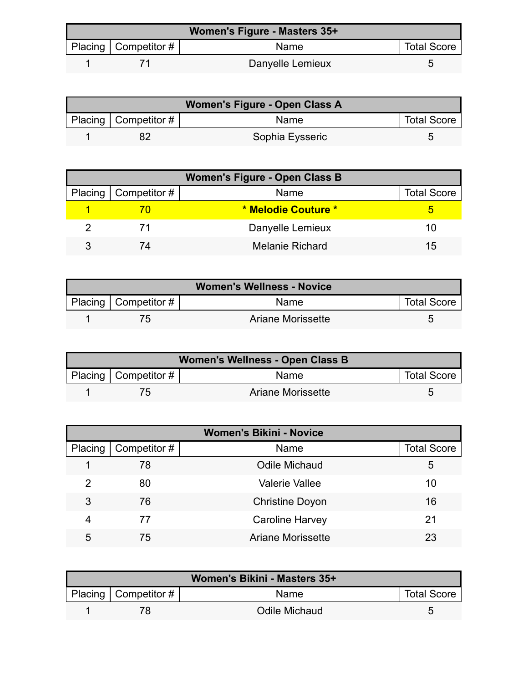| Women's Figure - Masters 35+ |                        |                  |                    |  |
|------------------------------|------------------------|------------------|--------------------|--|
|                              | Placing   Competitor # | <b>Name</b>      | <b>Total Score</b> |  |
|                              |                        | Danyelle Lemieux |                    |  |

| Women's Figure - Open Class A |                           |                 |                    |  |
|-------------------------------|---------------------------|-----------------|--------------------|--|
|                               | Placing   Competitor $\#$ | <b>Name</b>     | <b>Total Score</b> |  |
|                               |                           | Sophia Eysseric |                    |  |

| <b>Women's Figure - Open Class B</b> |                              |                        |                    |  |
|--------------------------------------|------------------------------|------------------------|--------------------|--|
|                                      | Placing $\vert$ Competitor # | Name                   | <b>Total Score</b> |  |
|                                      |                              | * Melodie Couture *    |                    |  |
|                                      |                              | Danyelle Lemieux       | 10                 |  |
|                                      | 74                           | <b>Melanie Richard</b> | 15                 |  |

| <b>Women's Wellness - Novice</b> |                           |                          |                    |  |
|----------------------------------|---------------------------|--------------------------|--------------------|--|
|                                  | Placing   Competitor $\#$ | <b>Name</b>              | <b>Total Score</b> |  |
|                                  |                           | <b>Ariane Morissette</b> |                    |  |

| Women's Wellness - Open Class B |                           |                   |                    |
|---------------------------------|---------------------------|-------------------|--------------------|
|                                 | Placing   Competitor $\#$ | Name              | <b>Total Score</b> |
|                                 |                           | Ariane Morissette |                    |

| <b>Women's Bikini - Novice</b> |              |                          |                    |  |
|--------------------------------|--------------|--------------------------|--------------------|--|
| Placing                        | Competitor # | Name                     | <b>Total Score</b> |  |
|                                | 78           | <b>Odile Michaud</b>     | 5                  |  |
| 2                              | 80           | <b>Valerie Vallee</b>    | 10                 |  |
| 3                              | 76           | <b>Christine Doyon</b>   | 16                 |  |
| 4                              | 77           | <b>Caroline Harvey</b>   | 21                 |  |
| 5                              | 75           | <b>Ariane Morissette</b> | 23                 |  |

| Women's Bikini - Masters 35+ |                        |               |                    |
|------------------------------|------------------------|---------------|--------------------|
|                              | Placing   Competitor # | <b>Name</b>   | <b>Total Score</b> |
|                              |                        | Odile Michaud |                    |